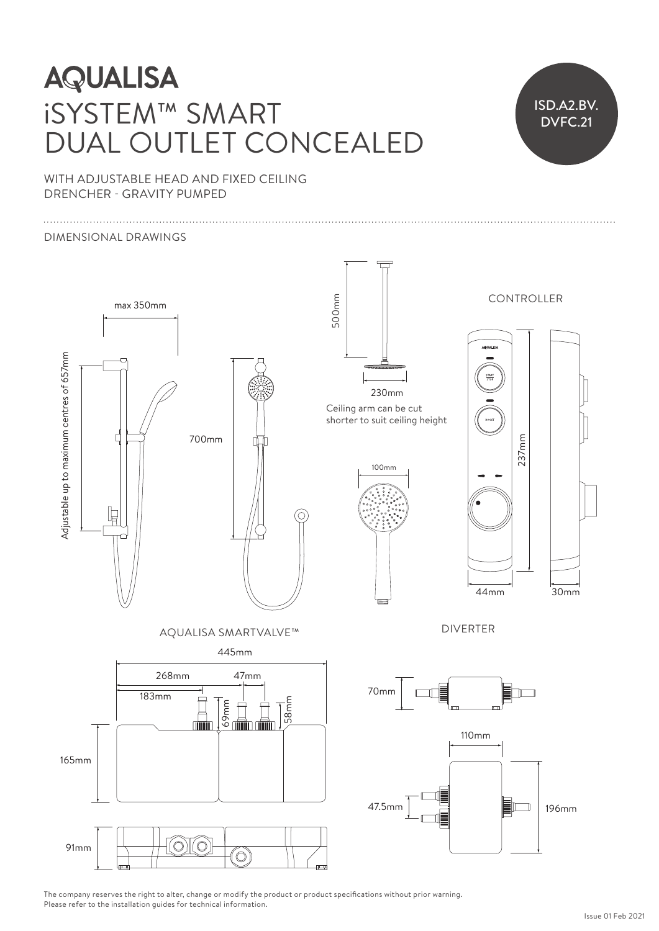# **AQUALISA** iSYSTEM™ SMART DUAL OUTLET CONCEALED



WITH ADJUSTABLE HEAD AND FIXED CEILING DRENCHER - GRAVITY PUMPED

#### DIMENSIONAL DRAWINGS



The company reserves the right to alter, change or modify the product or product specifications without prior warning. Please refer to the installation guides for technical information.